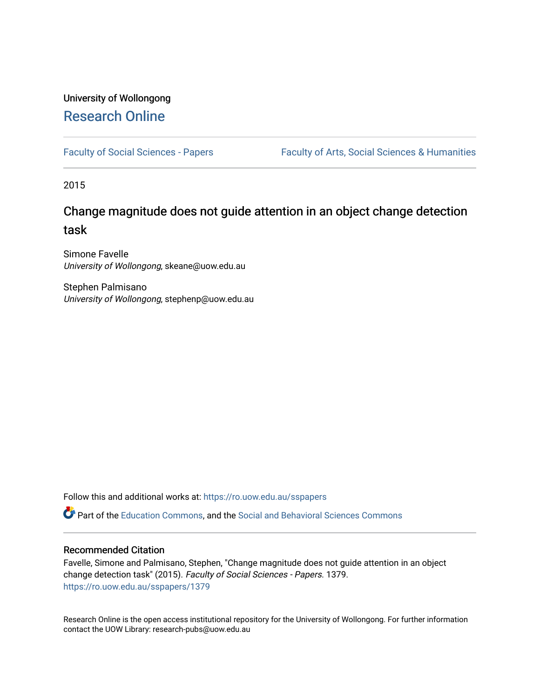# University of Wollongong [Research Online](https://ro.uow.edu.au/)

[Faculty of Social Sciences - Papers](https://ro.uow.edu.au/sspapers) Faculty of Arts, Social Sciences & Humanities

2015

# Change magnitude does not guide attention in an object change detection task

Simone Favelle University of Wollongong, skeane@uow.edu.au

Stephen Palmisano University of Wollongong, stephenp@uow.edu.au

Follow this and additional works at: [https://ro.uow.edu.au/sspapers](https://ro.uow.edu.au/sspapers?utm_source=ro.uow.edu.au%2Fsspapers%2F1379&utm_medium=PDF&utm_campaign=PDFCoverPages) 

Part of the [Education Commons](http://network.bepress.com/hgg/discipline/784?utm_source=ro.uow.edu.au%2Fsspapers%2F1379&utm_medium=PDF&utm_campaign=PDFCoverPages), and the [Social and Behavioral Sciences Commons](http://network.bepress.com/hgg/discipline/316?utm_source=ro.uow.edu.au%2Fsspapers%2F1379&utm_medium=PDF&utm_campaign=PDFCoverPages) 

### Recommended Citation

Favelle, Simone and Palmisano, Stephen, "Change magnitude does not guide attention in an object change detection task" (2015). Faculty of Social Sciences - Papers. 1379. [https://ro.uow.edu.au/sspapers/1379](https://ro.uow.edu.au/sspapers/1379?utm_source=ro.uow.edu.au%2Fsspapers%2F1379&utm_medium=PDF&utm_campaign=PDFCoverPages)

Research Online is the open access institutional repository for the University of Wollongong. For further information contact the UOW Library: research-pubs@uow.edu.au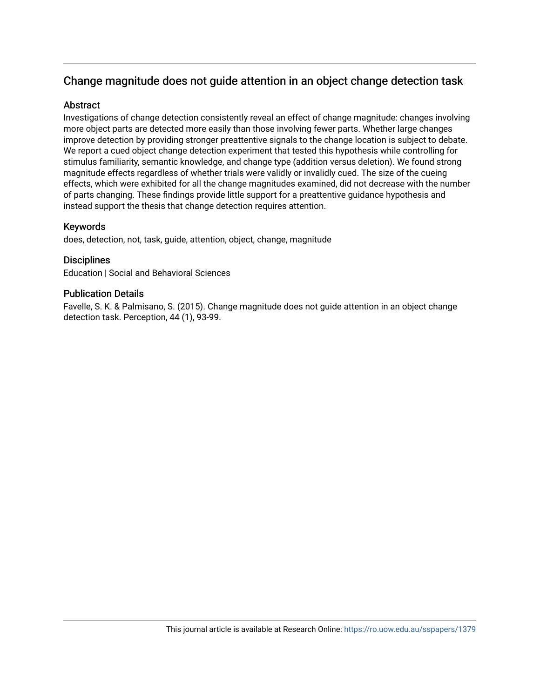## Change magnitude does not guide attention in an object change detection task

## **Abstract**

Investigations of change detection consistently reveal an effect of change magnitude: changes involving more object parts are detected more easily than those involving fewer parts. Whether large changes improve detection by providing stronger preattentive signals to the change location is subject to debate. We report a cued object change detection experiment that tested this hypothesis while controlling for stimulus familiarity, semantic knowledge, and change type (addition versus deletion). We found strong magnitude effects regardless of whether trials were validly or invalidly cued. The size of the cueing effects, which were exhibited for all the change magnitudes examined, did not decrease with the number of parts changing. These findings provide little support for a preattentive guidance hypothesis and instead support the thesis that change detection requires attention.

## Keywords

does, detection, not, task, guide, attention, object, change, magnitude

## **Disciplines**

Education | Social and Behavioral Sciences

## Publication Details

Favelle, S. K. & Palmisano, S. (2015). Change magnitude does not guide attention in an object change detection task. Perception, 44 (1), 93-99.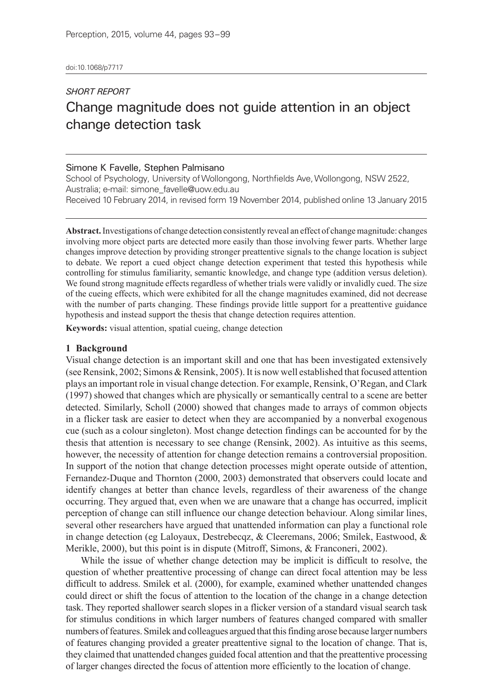## *SHORT REPORT* Change magnitude does not guide attention in an object change detection task

### Simone K Favelle, Stephen Palmisano

School of Psychology, University of Wollongong, Northfields Ave, Wollongong, NSW 2522, Australia; e‑mail: simone\_favelle@uow.edu.au

Received 10 February 2014, in revised form 19 November 2014, published online 13 January 2015

**Abstract.** Investigations of change detection consistently reveal an effect of change magnitude: changes involving more object parts are detected more easily than those involving fewer parts. Whether large changes improve detection by providing stronger preattentive signals to the change location is subject to debate. We report a cued object change detection experiment that tested this hypothesis while controlling for stimulus familiarity, semantic knowledge, and change type (addition versus deletion). We found strong magnitude effects regardless of whether trials were validly or invalidly cued. The size of the cueing effects, which were exhibited for all the change magnitudes examined, did not decrease with the number of parts changing. These findings provide little support for a preattentive guidance hypothesis and instead support the thesis that change detection requires attention.

**Keywords:** visual attention, spatial cueing, change detection

#### **1 Background**

Visual change detection is an important skill and one that has been investigated extensively (see Rensink, 2002; Simons & Rensink, 2005). It is now well established that focused attention plays an important role in visual change detection. For example, Rensink, O'Regan, and Clark (1997) showed that changes which are physically or semantically central to a scene are better detected. Similarly, Scholl (2000) showed that changes made to arrays of common objects in a flicker task are easier to detect when they are accompanied by a nonverbal exogenous cue (such as a colour singleton). Most change detection findings can be accounted for by the thesis that attention is necessary to see change (Rensink, 2002). As intuitive as this seems, however, the necessity of attention for change detection remains a controversial proposition. In support of the notion that change detection processes might operate outside of attention, Fernandez-Duque and Thornton (2000, 2003) demonstrated that observers could locate and identify changes at better than chance levels, regardless of their awareness of the change occurring. They argued that, even when we are unaware that a change has occurred, implicit perception of change can still influence our change detection behaviour. Along similar lines, several other researchers have argued that unattended information can play a functional role in change detection (eg Laloyaux, Destrebecqz, & Cleeremans, 2006; Smilek, Eastwood, & Merikle, 2000), but this point is in dispute (Mitroff, Simons, & Franconeri, 2002).

While the issue of whether change detection may be implicit is difficult to resolve, the question of whether preattentive processing of change can direct focal attention may be less difficult to address. Smilek et al. (2000), for example, examined whether unattended changes could direct or shift the focus of attention to the location of the change in a change detection task. They reported shallower search slopes in a flicker version of a standard visual search task for stimulus conditions in which larger numbers of features changed compared with smaller numbers of features. Smilek and colleagues argued that this finding arose because larger numbers of features changing provided a greater preattentive signal to the location of change. That is, they claimed that unattended changes guided focal attention and that the preattentive processing of larger changes directed the focus of attention more efficiently to the location of change.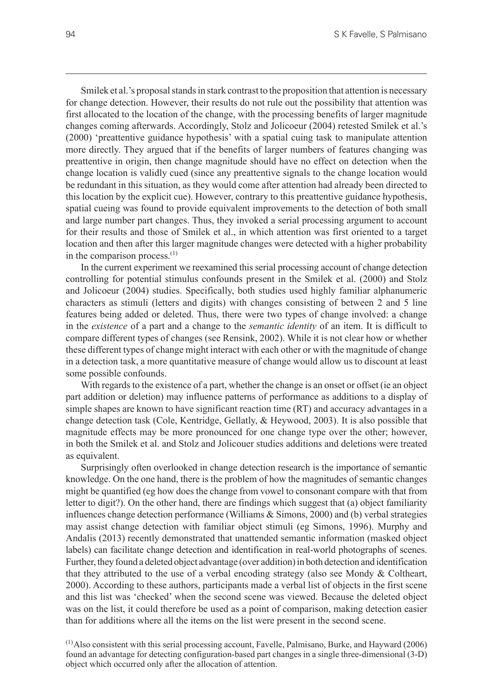Smilek et al.'s proposal stands in stark contrast to the proposition that attention is necessary for change detection. However, their results do not rule out the possibility that attention was first allocated to the location of the change, with the processing benefits of larger magnitude changes coming afterwards. Accordingly, Stolz and Jolicoeur (2004) retested Smilek et al.'s (2000) 'preattentive guidance hypothesis' with a spatial cuing task to manipulate attention more directly. They argued that if the benefits of larger numbers of features changing was preattentive in origin, then change magnitude should have no effect on detection when the change location is validly cued (since any preattentive signals to the change location would be redundant in this situation, as they would come after attention had already been directed to this location by the explicit cue). However, contrary to this preattentive guidance hypothesis, spatial cueing was found to provide equivalent improvements to the detection of both small and large number part changes. Thus, they invoked a serial processing argument to account for their results and those of Smilek et al., in which attention was first oriented to a target location and then after this larger magnitude changes were detected with a higher probability in the comparison process. $(1)$ 

In the current experiment we reexamined this serial processing account of change detection controlling for potential stimulus confounds present in the Smilek et al. (2000) and Stolz and Jolicoeur (2004) studies. Specifically, both studies used highly familiar alphanumeric characters as stimuli (letters and digits) with changes consisting of between 2 and 5 line features being added or deleted. Thus, there were two types of change involved: a change in the *existence* of a part and a change to the *semantic identity* of an item. It is difficult to compare different types of changes (see Rensink, 2002). While it is not clear how or whether these different types of change might interact with each other or with the magnitude of change in a detection task, a more quantitative measure of change would allow us to discount at least some possible confounds.

With regards to the existence of a part, whether the change is an onset or offset (ie an object part addition or deletion) may influence patterns of performance as additions to a display of simple shapes are known to have significant reaction time (RT) and accuracy advantages in a change detection task (Cole, Kentridge, Gellatly, & Heywood, 2003). It is also possible that magnitude effects may be more pronounced for one change type over the other; however, in both the Smilek et al. and Stolz and Jolicouer studies additions and deletions were treated as equivalent.

Surprisingly often overlooked in change detection research is the importance of semantic knowledge. On the one hand, there is the problem of how the magnitudes of semantic changes might be quantified (eg how does the change from vowel to consonant compare with that from letter to digit?). On the other hand, there are findings which suggest that (a) object familiarity influences change detection performance (Williams & Simons, 2000) and (b) verbal strategies may assist change detection with familiar object stimuli (eg Simons, 1996). Murphy and Andalis (2013) recently demonstrated that unattended semantic information (masked object labels) can facilitate change detection and identification in real-world photographs of scenes. Further, they found a deleted object advantage (over addition) in both detection and identification that they attributed to the use of a verbal encoding strategy (also see Mondy & Coltheart, 2000). According to these authors, participants made a verbal list of objects in the first scene and this list was 'checked' when the second scene was viewed. Because the deleted object was on the list, it could therefore be used as a point of comparison, making detection easier than for additions where all the items on the list were present in the second scene.

 $<sup>(1)</sup>$ Also consistent with this serial processing account, Favelle, Palmisano, Burke, and Hayward (2006)</sup> found an advantage for detecting configuration-based part changes in a single three-dimensional (3-D) object which occurred only after the allocation of attention.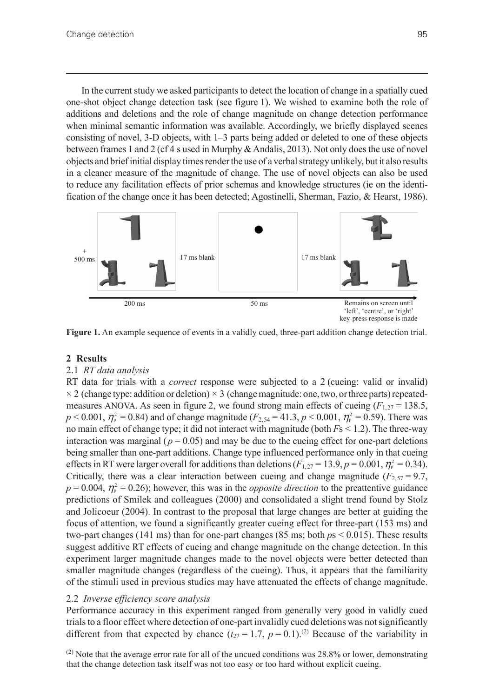In the current study we asked participants to detect the location of change in a spatially cued one-shot object change detection task (see figure 1). We wished to examine both the role of additions and deletions and the role of change magnitude on change detection performance when minimal semantic information was available. Accordingly, we briefly displayed scenes consisting of novel, 3-D objects, with 1–3 parts being added or deleted to one of these objects between frames 1 and 2 (cf 4 s used in Murphy & Andalis, 2013). Not only does the use of novel objects and brief initial display times render the use of a verbal strategy unlikely, but it also results in a cleaner measure of the magnitude of change. The use of novel objects can also be used to reduce any facilitation effects of prior schemas and knowledge structures (ie on the identification of the change once it has been detected; Agostinelli, Sherman, Fazio, & Hearst, 1986).



**Figure 1.** An example sequence of events in a validly cued, three-part addition change detection trial.

#### **2 Results**

#### 2.1 *RT data analysis*

RT data for trials with a *correct* response were subjected to a 2 (cueing: valid or invalid)  $\times$  2 (change type: addition or deletion)  $\times$  3 (change magnitude: one, two, or three parts) repeatedmeasures ANOVA. As seen in figure 2, we found strong main effects of cueing  $(F_{1,27} = 138.5,$  $p < 0.001$ ,  $\eta_{\rm p}^2 = 0.84$ ) and of change magnitude (*F*<sub>2,54</sub> = 41.3, *p* < 0.001,  $\eta_{\rm p}^2 = 0.59$ ). There was no main effect of change type; it did not interact with magnitude (both *F*s < 1.2). The three-way interaction was marginal ( $p = 0.05$ ) and may be due to the cueing effect for one-part deletions being smaller than one-part additions. Change type influenced performance only in that cueing effects in RT were larger overall for additions than deletions ( $F_{1,27} = 13.9, p = 0.001, \eta_{\rm p}^2 = 0.34$ ). Critically, there was a clear interaction between cueing and change magnitude ( $F_{2,57} = 9.7$ ,  $p = 0.004$ ,  $\eta_{\rm p}^2 = 0.26$ ); however, this was in the *opposite direction* to the preattentive guidance predictions of Smilek and colleagues (2000) and consolidated a slight trend found by Stolz and Jolicoeur (2004). In contrast to the proposal that large changes are better at guiding the focus of attention, we found a significantly greater cueing effect for three-part (153 ms) and two-part changes (141 ms) than for one-part changes (85 ms; both *p*s < 0.015). These results suggest additive RT effects of cueing and change magnitude on the change detection. In this experiment larger magnitude changes made to the novel objects were better detected than smaller magnitude changes (regardless of the cueing). Thus, it appears that the familiarity of the stimuli used in previous studies may have attenuated the effects of change magnitude.

#### 2.2 *Inverse efficiency score analysis*

Performance accuracy in this experiment ranged from generally very good in validly cued trials to a floor effect where detection of one-part invalidly cued deletions was not significantly different from that expected by chance  $(t_{27} = 1.7, p = 0.1).^{(2)}$  Because of the variability in

 $^{(2)}$  Note that the average error rate for all of the uncued conditions was 28.8% or lower, demonstrating that the change detection task itself was not too easy or too hard without explicit cueing.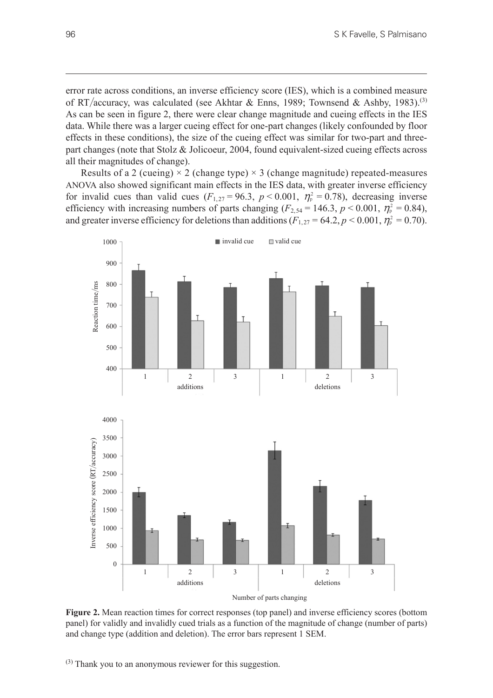error rate across conditions, an inverse efficiency score (IES), which is a combined measure of RT/accuracy, was calculated (see Akhtar & Enns, 1989; Townsend & Ashby, 1983).<sup>(3)</sup> As can be seen in figure 2, there were clear change magnitude and cueing effects in the IES data. While there was a larger cueing effect for one-part changes (likely confounded by floor effects in these conditions), the size of the cueing effect was similar for two-part and threepart changes (note that Stolz & Jolicoeur, 2004, found equivalent-sized cueing effects across all their magnitudes of change).

Results of a 2 (cueing)  $\times$  2 (change type)  $\times$  3 (change magnitude) repeated-measures ANOVA also showed significant main effects in the IES data, with greater inverse efficiency for invalid cues than valid cues  $(F_{1,27} = 96.3, p < 0.001, \eta_{p}^{2} = 0.78)$ , decreasing inverse efficiency with increasing numbers of parts changing ( $F_{2,54}$  = 146.3,  $p < 0.001$ ,  $\eta_{\rm p}^2 = 0.84$ ), and greater inverse efficiency for deletions than additions  $(F_{1,27} = 64.2, p \lt 0.001, \eta_{\rm p}^2 = 0.70)$ .



**Figure 2.** Mean reaction times for correct responses (top panel) and inverse efficiency scores (bottom panel) for validly and invalidly cued trials as a function of the magnitude of change (number of parts) and change type (addition and deletion). The error bars represent 1 SEM.

 $^{(3)}$  Thank you to an anonymous reviewer for this suggestion.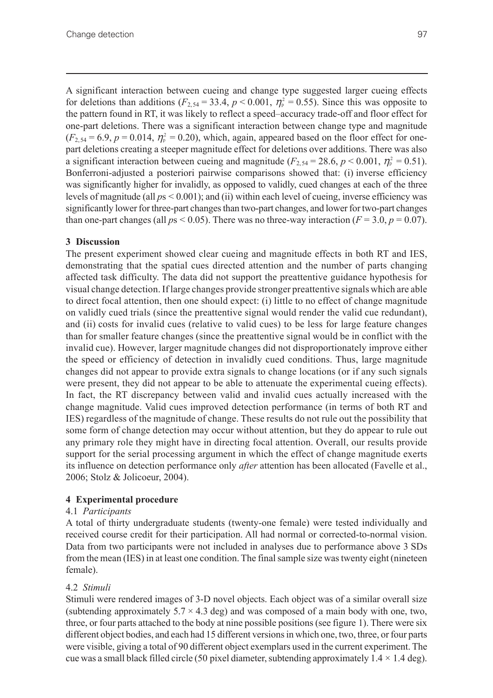A significant interaction between cueing and change type suggested larger cueing effects for deletions than additions ( $F_{2,54} = 33.4$ ,  $p < 0.001$ ,  $\eta_{p}^{2} = 0.55$ ). Since this was opposite to the pattern found in RT, it was likely to reflect a speed–accuracy trade-off and floor effect for one-part deletions. There was a significant interaction between change type and magnitude  $(F_{2,54} = 6.9, p = 0.014, \eta_{\rm p}^2 = 0.20)$ , which, again, appeared based on the floor effect for onepart deletions creating a steeper magnitude effect for deletions over additions. There was also a significant interaction between cueing and magnitude ( $F_{2,54} = 28.6$ ,  $p < 0.001$ ,  $\eta_{p}^{2} = 0.51$ ). Bonferroni-adjusted a posteriori pairwise comparisons showed that: (i) inverse efficiency was significantly higher for invalidly, as opposed to validly, cued changes at each of the three levels of magnitude (all *p*s < 0.001); and (ii) within each level of cueing, inverse efficiency was significantly lower for three-part changes than two-part changes, and lower for two-part changes than one-part changes (all  $ps < 0.05$ ). There was no three-way interaction ( $F = 3.0$ ,  $p = 0.07$ ).

## **3 Discussion**

The present experiment showed clear cueing and magnitude effects in both RT and IES, demonstrating that the spatial cues directed attention and the number of parts changing affected task difficulty. The data did not support the preattentive guidance hypothesis for visual change detection. If large changes provide stronger preattentive signals which are able to direct focal attention, then one should expect: (i) little to no effect of change magnitude on validly cued trials (since the preattentive signal would render the valid cue redundant), and (ii) costs for invalid cues (relative to valid cues) to be less for large feature changes than for smaller feature changes (since the preattentive signal would be in conflict with the invalid cue). However, larger magnitude changes did not disproportionately improve either the speed or efficiency of detection in invalidly cued conditions. Thus, large magnitude changes did not appear to provide extra signals to change locations (or if any such signals were present, they did not appear to be able to attenuate the experimental cueing effects). In fact, the RT discrepancy between valid and invalid cues actually increased with the change magnitude. Valid cues improved detection performance (in terms of both RT and IES) regardless of the magnitude of change. These results do not rule out the possibility that some form of change detection may occur without attention, but they do appear to rule out any primary role they might have in directing focal attention. Overall, our results provide support for the serial processing argument in which the effect of change magnitude exerts its influence on detection performance only *after* attention has been allocated (Favelle et al., 2006; Stolz & Jolicoeur, 2004).

## **4 Experimental procedure**

## 4.1 *Participants*

A total of thirty undergraduate students (twenty-one female) were tested individually and received course credit for their participation. All had normal or corrected-to-normal vision. Data from two participants were not included in analyses due to performance above 3 SDs from the mean (IES) in at least one condition. The final sample size was twenty eight (nineteen female).

## 4.2 *Stimuli*

Stimuli were rendered images of 3-D novel objects. Each object was of a similar overall size (subtending approximately  $5.7 \times 4.3$  deg) and was composed of a main body with one, two, three, or four parts attached to the body at nine possible positions (see figure 1). There were six different object bodies, and each had 15 different versions in which one, two, three, or four parts were visible, giving a total of 90 different object exemplars used in the current experiment. The cue was a small black filled circle (50 pixel diameter, subtending approximately  $1.4 \times 1.4$  deg).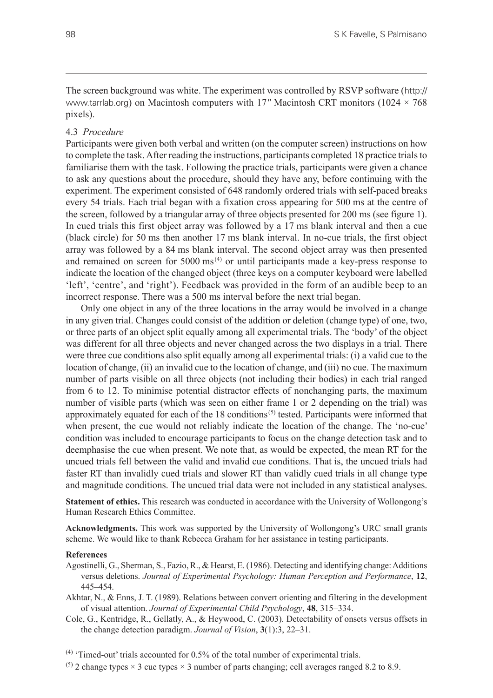The screen background was white. The experiment was controlled by RSVP software ([http://](http://www.tarrlab.org) [www.tarrlab.org](http://www.tarrlab.org)) on Macintosh computers with 17*″* Macintosh CRT monitors (1024 × 768 pixels).

#### 4.3 *Procedure*

Participants were given both verbal and written (on the computer screen) instructions on how to complete the task. After reading the instructions, participants completed 18 practice trials to familiarise them with the task. Following the practice trials, participants were given a chance to ask any questions about the procedure, should they have any, before continuing with the experiment. The experiment consisted of 648 randomly ordered trials with self-paced breaks every 54 trials. Each trial began with a fixation cross appearing for 500 ms at the centre of the screen, followed by a triangular array of three objects presented for 200 ms (see figure 1). In cued trials this first object array was followed by a 17 ms blank interval and then a cue (black circle) for 50 ms then another 17 ms blank interval. In no-cue trials, the first object array was followed by a 84 ms blank interval. The second object array was then presented and remained on screen for  $5000 \text{ ms}^{(4)}$  or until participants made a key-press response to indicate the location of the changed object (three keys on a computer keyboard were labelled 'left', 'centre', and 'right'). Feedback was provided in the form of an audible beep to an incorrect response. There was a 500 ms interval before the next trial began.

Only one object in any of the three locations in the array would be involved in a change in any given trial. Changes could consist of the addition or deletion (change type) of one, two, or three parts of an object split equally among all experimental trials. The 'body' of the object was different for all three objects and never changed across the two displays in a trial. There were three cue conditions also split equally among all experimental trials: (i) a valid cue to the location of change, (ii) an invalid cue to the location of change, and (iii) no cue. The maximum number of parts visible on all three objects (not including their bodies) in each trial ranged from 6 to 12. To minimise potential distractor effects of nonchanging parts, the maximum number of visible parts (which was seen on either frame 1 or 2 depending on the trial) was approximately equated for each of the 18 conditions<sup> $(5)$ </sup> tested. Participants were informed that when present, the cue would not reliably indicate the location of the change. The 'no-cue' condition was included to encourage participants to focus on the change detection task and to deemphasise the cue when present. We note that, as would be expected, the mean RT for the uncued trials fell between the valid and invalid cue conditions. That is, the uncued trials had faster RT than invalidly cued trials and slower RT than validly cued trials in all change type and magnitude conditions. The uncued trial data were not included in any statistical analyses.

**Statement of ethics.** This research was conducted in accordance with the University of Wollongong's Human Research Ethics Committee.

**Acknowledgments.** This work was supported by the University of Wollongong's URC small grants scheme. We would like to thank Rebecca Graham for her assistance in testing participants.

#### **References**

- Agostinelli, G., Sherman, S., Fazio, R., & Hearst, E. (1986). Detecting and identifying change: Additions versus deletions. *Journal of Experimental Psychology: Human Perception and Performance*, **12**, 445–454.
- Akhtar, N., & Enns, J. T. (1989). Relations between convert orienting and filtering in the development of visual attention. *Journal of Experimental Child Psychology*, **48**, 315–334.
- Cole, G., Kentridge, R., Gellatly, A., & Heywood, C. (2003). Detectability of onsets versus offsets in the change detection paradigm. *Journal of Vision*, **3**(1):3, 22–31.

 $(4)$  'Timed-out' trials accounted for 0.5% of the total number of experimental trials.

<sup>(5)</sup> 2 change types  $\times$  3 cue types  $\times$  3 number of parts changing; cell averages ranged 8.2 to 8.9.